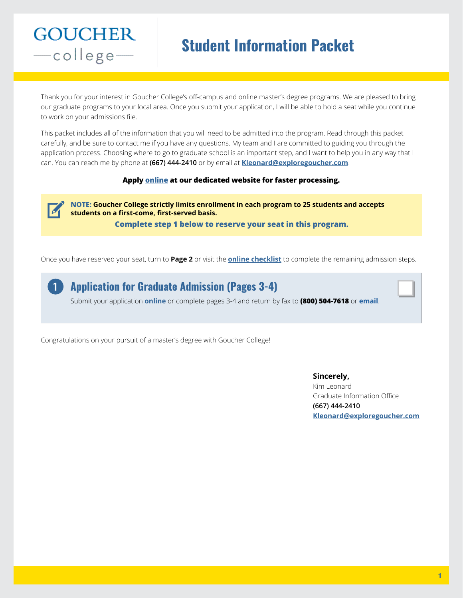# **Student Information Packet**

Thank you for your interest in Goucher College's off-campus and online master's degree programs. We are pleased to bring our graduate programs to your local area. Once you submit your application, I will be able to hold a seat while you continue to work on your admissions file.

This packet includes all of the information that you will need to be admitted into the program. Read through this packet carefully, and be sure to contact me if you have any questions. My team and I are committed to guiding you through the application process. Choosing where to go to graduate school is an important step, and I want to help you in any way that I can. You can reach me by phone at **(667) 444-2410** or by email at **[Kleonard@exploregoucher.com](mailto:Kleonard%40exploregoucher.com?subject=)**.

#### **Apply [online](http://graduateprogram.org/goucher-college/application-checklist) at our dedicated website for faster processing.**

**NOTE: Goucher College strictly limits enrollment in each program to 25 students and accepts students on a first-come, first-served basis. Complete step 1 below to reserve your seat in this program.**

Once you have reserved your seat, turn to **Page 2** or visit the **[online checklist](http://graduateprogram.org/goucher-college/application-checklist)** to complete the remaining admission steps.

**Application for Graduate Admission (Pages 3-4)** Submit your application **[online](http://graduateprogram.org/goucher-college/application-checklist)** or complete pages 3-4 and return by fax to **(800) 504-7618** or **[email](mailto:Kleonard%40exploregoucher.com?subject=)**. **1**

Congratulations on your pursuit of a master's degree with Goucher College!

**Sincerely,**  Kim Leonard Graduate Information Office **(667) 444-2410 [Kleonard@exploregoucher.com](mailto:Kleonard%40exploregoucher.com?subject=)**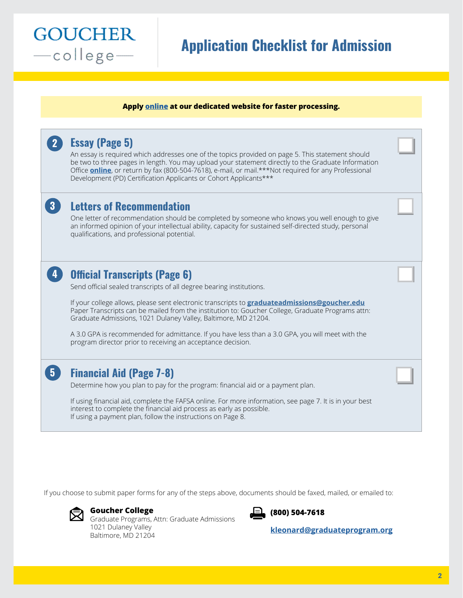# **Application Checklist for Admission**

#### **Apply [online](http://graduateprogram.org/goucher-college/application-checklist) at our dedicated website for faster processing.**

|                | <b>Essay (Page 5)</b><br>An essay is required which addresses one of the topics provided on page 5. This statement should<br>be two to three pages in length. You may upload your statement directly to the Graduate Information<br>Office <b>online</b> , or return by fax (800-504-7618), e-mail, or mail.***Not required for any Professional<br>Development (PD) Certification Applicants or Cohort Applicants***                                                                                                                                  |  |
|----------------|--------------------------------------------------------------------------------------------------------------------------------------------------------------------------------------------------------------------------------------------------------------------------------------------------------------------------------------------------------------------------------------------------------------------------------------------------------------------------------------------------------------------------------------------------------|--|
| $\mathbf{3}$   | <b>Letters of Recommendation</b><br>One letter of recommendation should be completed by someone who knows you well enough to give<br>an informed opinion of your intellectual ability, capacity for sustained self-directed study, personal<br>qualifications, and professional potential.                                                                                                                                                                                                                                                             |  |
|                | <b>Official Transcripts (Page 6)</b><br>Send official sealed transcripts of all degree bearing institutions.<br>If your college allows, please sent electronic transcripts to graduateadmissions@goucher.edu<br>Paper Transcripts can be mailed from the institution to: Goucher College, Graduate Programs attn:<br>Graduate Admissions, 1021 Dulaney Valley, Baltimore, MD 21204.<br>A 3.0 GPA is recommended for admittance. If you have less than a 3.0 GPA, you will meet with the<br>program director prior to receiving an acceptance decision. |  |
| 5 <sub>1</sub> | <b>Financial Aid (Page 7-8)</b><br>Determine how you plan to pay for the program: financial aid or a payment plan.<br>If using financial aid, complete the FAFSA online. For more information, see page 7. It is in your best<br>interest to complete the financial aid process as early as possible.<br>If using a payment plan, follow the instructions on Page 8.                                                                                                                                                                                   |  |

If you choose to submit paper forms for any of the steps above, documents should be faxed, mailed, or emailed to:



**GOUCHER** 

-college-

**Goucher College**

Graduate Programs, Attn: Graduate Admissions 1021 Dulaney Valley Baltimore, MD 21204



**[kleonard@graduateprogram.org](mailto:kleonard%40graduateprogram.org?subject=)**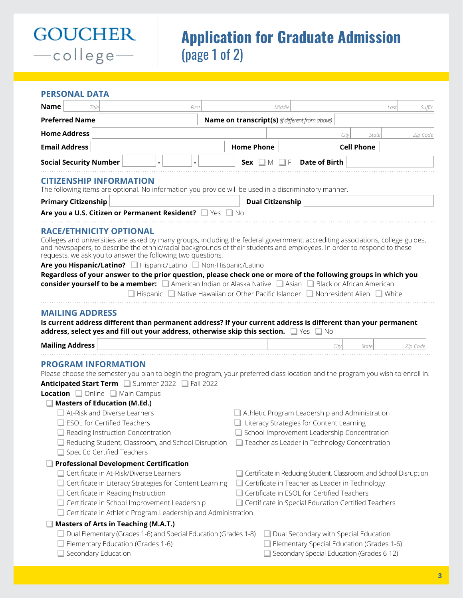# **Application for Graduate Admission**  (page 1 of 2)

# **PERSONAL DATA**

**GOUCHER** 

-college-

| Name<br>Title                                                                                                                                                                                                                                                                                                                                                                                                                                                                                                                                                                                                                                      |                                   | First                                                                                                  |                                                        | Middle                  |               |                                            |                                                                                                       | Suffix<br>Last                                                    |
|----------------------------------------------------------------------------------------------------------------------------------------------------------------------------------------------------------------------------------------------------------------------------------------------------------------------------------------------------------------------------------------------------------------------------------------------------------------------------------------------------------------------------------------------------------------------------------------------------------------------------------------------------|-----------------------------------|--------------------------------------------------------------------------------------------------------|--------------------------------------------------------|-------------------------|---------------|--------------------------------------------|-------------------------------------------------------------------------------------------------------|-------------------------------------------------------------------|
| <b>Preferred Name</b>                                                                                                                                                                                                                                                                                                                                                                                                                                                                                                                                                                                                                              |                                   |                                                                                                        | <b>Name on transcript(s)</b> (if different from above) |                         |               |                                            |                                                                                                       |                                                                   |
| <b>Home Address</b>                                                                                                                                                                                                                                                                                                                                                                                                                                                                                                                                                                                                                                |                                   |                                                                                                        |                                                        |                         |               | City                                       | State                                                                                                 | Zip Code                                                          |
| <b>Email Address</b>                                                                                                                                                                                                                                                                                                                                                                                                                                                                                                                                                                                                                               |                                   |                                                                                                        | <b>Home Phone</b>                                      |                         |               |                                            | <b>Cell Phone</b>                                                                                     |                                                                   |
| <b>Social Security Number</b>                                                                                                                                                                                                                                                                                                                                                                                                                                                                                                                                                                                                                      |                                   |                                                                                                        | Sex $\Box M$                                           |                         | Date of Birth |                                            |                                                                                                       |                                                                   |
| <b>CITIZENSHIP INFORMATION</b><br>The following items are optional. No information you provide will be used in a discriminatory manner.                                                                                                                                                                                                                                                                                                                                                                                                                                                                                                            |                                   |                                                                                                        |                                                        |                         |               |                                            |                                                                                                       |                                                                   |
| <b>Primary Citizenship</b>                                                                                                                                                                                                                                                                                                                                                                                                                                                                                                                                                                                                                         |                                   |                                                                                                        |                                                        | <b>Dual Citizenship</b> |               |                                            |                                                                                                       |                                                                   |
| Are you a U.S. Citizen or Permanent Resident? Ves                                                                                                                                                                                                                                                                                                                                                                                                                                                                                                                                                                                                  |                                   |                                                                                                        | $\Box$ No                                              |                         |               |                                            |                                                                                                       |                                                                   |
| Colleges and universities are asked by many groups, including the federal government, accrediting associations, college guides,<br>and newspapers, to describe the ethnic/racial backgrounds of their students and employees. In order to respond to these<br>requests, we ask you to answer the following two questions.<br>Are you Hispanic/Latino? Hispanic/Latino Non-Hispanic/Latino<br>Regardless of your answer to the prior question, please check one or more of the following groups in which you<br>consider yourself to be a member: American Indian or Alaska Native <b>Assan Black or African American</b><br><b>MAILING ADDRESS</b> |                                   | $\Box$ Hispanic $\Box$ Native Hawaiian or Other Pacific Islander $\Box$ Nonresident Alien $\Box$ White |                                                        |                         |               |                                            |                                                                                                       |                                                                   |
| Is current address different than permanent address? If your current address is different than your permanent<br>address, select yes and fill out your address, otherwise skip this section. $\Box$ Yes $\Box$ No                                                                                                                                                                                                                                                                                                                                                                                                                                  |                                   |                                                                                                        |                                                        |                         |               |                                            |                                                                                                       |                                                                   |
| <b>Mailing Address</b>                                                                                                                                                                                                                                                                                                                                                                                                                                                                                                                                                                                                                             |                                   |                                                                                                        |                                                        |                         |               | City                                       | State                                                                                                 | Zip Code                                                          |
| <b>PROGRAM INFORMATION</b><br>Please choose the semester you plan to begin the program, your preferred class location and the program you wish to enroll in.<br>Anticipated Start Term Summer 2022 Fall 2022<br>Location Online Main Campus<br><b>Masters of Education (M.Ed.)</b><br>$\Box$ At-Risk and Diverse Learners<br>ESOL for Certified Teachers<br>Reading Instruction Concentration<br>Reducing Student, Classroom, and School Disruption D Teacher as Leader in Technology Concentration<br>Spec Ed Certified Teachers                                                                                                                  |                                   |                                                                                                        |                                                        |                         |               | Literacy Strategies for Content Learning   | Athletic Program Leadership and Administration<br>School Improvement Leadership Concentration         |                                                                   |
| <b>Professional Development Certification</b><br>Certificate in At-Risk/Diverse Learners<br>$\Box$ Certificate in Reading Instruction<br>Certificate in School Improvement Leadership<br>Certificate in Athletic Program Leadership and Administration                                                                                                                                                                                                                                                                                                                                                                                             |                                   | Certificate in Literacy Strategies for Content Learning                                                |                                                        |                         |               | Certificate in ESOL for Certified Teachers | Certificate in Teacher as Leader in Technology<br>Certificate in Special Education Certified Teachers | Certificate in Reducing Student, Classroom, and School Disruption |
| <b>Masters of Arts in Teaching (M.A.T.)</b><br>□ Dual Elementary (Grades 1-6) and Special Education (Grades 1-8)<br>Secondary Education                                                                                                                                                                                                                                                                                                                                                                                                                                                                                                            | Elementary Education (Grades 1-6) |                                                                                                        |                                                        |                         |               |                                            | Dual Secondary with Special Education<br>$\Box$ Elementary Special Education (Grades 1-6)             |                                                                   |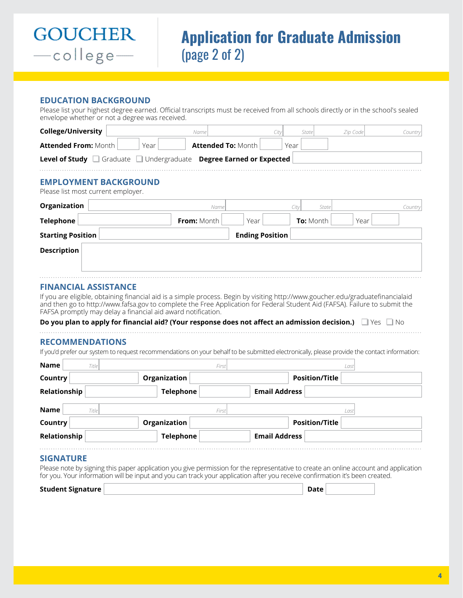![](_page_3_Picture_0.jpeg)

#### **EDUCATION BACKGROUND**

Please list your highest degree earned. Official transcripts must be received from all schools directly or in the school's sealed envelope whether or not a degree was received.

| <b>College/University</b>                                          | Name                      | City                   | <b>State</b>     | Zip Code | Country |
|--------------------------------------------------------------------|---------------------------|------------------------|------------------|----------|---------|
| <b>Attended From: Month</b><br>Year                                | <b>Attended To: Month</b> | Year                   |                  |          |         |
| Level of Study Graduate Undergraduate Degree Earned or Expected    |                           |                        |                  |          |         |
| <b>EMPLOYMENT BACKGROUND</b><br>Please list most current employer. |                           |                        |                  |          |         |
| Organization                                                       | Name                      | City                   | State            |          | Country |
| <b>Telephone</b>                                                   | <b>From:</b> Month        | Year                   | <b>To:</b> Month | Year     |         |
| <b>Starting Position</b>                                           |                           | <b>Ending Position</b> |                  |          |         |
| <b>Description</b>                                                 |                           |                        |                  |          |         |
|                                                                    |                           |                        |                  |          |         |
|                                                                    |                           |                        |                  |          |         |

### **FINANCIAL ASSISTANCE**

If you are eligible, obtaining financial aid is a simple process. Begin by visiting http://www.goucher.edu/graduatefinancialaid and then go to http://www.fafsa.gov to complete the Free Application for Federal Student Aid (FAFSA). Failure to submit the FAFSA promptly may delay a financial aid award notification.

**Do you plan to apply for financial aid? (Your response does not affect an admission decision.)**  $\Box$  Yes  $\Box$  No

#### **RECOMMENDATIONS**

If you'd prefer our system to request recommendations on your behalf to be submitted electronically, please provide the contact information:

| <b>Name</b><br><b>Title</b> | First            | Last                  |
|-----------------------------|------------------|-----------------------|
| Country                     | Organization     | <b>Position/Title</b> |
| <b>Relationship</b>         | <b>Telephone</b> | <b>Email Address</b>  |
| Name<br><b>Title</b>        | First            | Last                  |
| Country                     | Organization     | <b>Position/Title</b> |
| Relationship                | <b>Telephone</b> | <b>Email Address</b>  |
| <b>SIGNATURE</b>            |                  |                       |

Please note by signing this paper application you give permission for the representative to create an online account and application for you. Your information will be input and you can track your application after you receive confirmation it's been created.

| Student Signature | Date |  |
|-------------------|------|--|
|                   |      |  |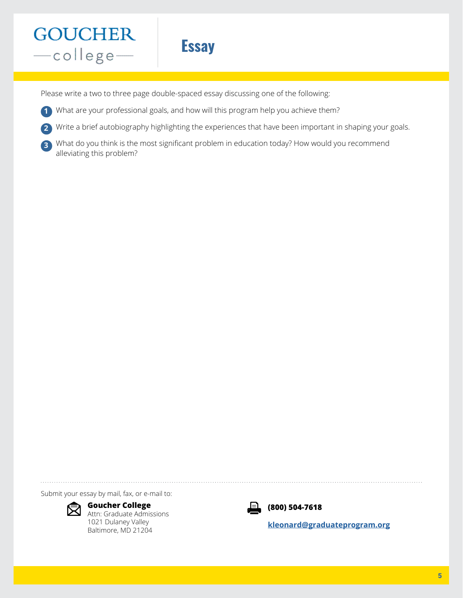# **Essay**

Please write a two to three page double-spaced essay discussing one of the following:

- What are your professional goals, and how will this program help you achieve them? **1**
- Write a brief autobiography highlighting the experiences that have been important in shaping your goals. **2**
- What do you think is the most significant problem in education today? How would you recommend alleviating this problem? **3**

Submit your essay by mail, fax, or e-mail to:

![](_page_4_Picture_7.jpeg)

**Goucher College** Attn: Graduate Admissions 1021 Dulaney Valley Baltimore, MD 21204

![](_page_4_Picture_9.jpeg)

**(800) 504-7618**

**[kleonard@graduateprogram.org](mailto:kleonard%40graduateprogram.org?subject=)**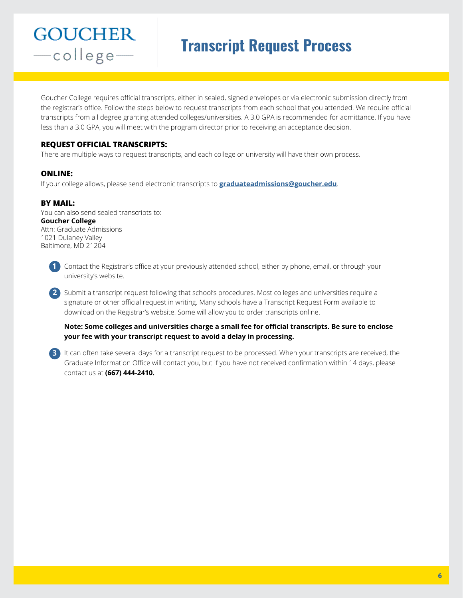# **Transcript Request Process**

Goucher College requires official transcripts, either in sealed, signed envelopes or via electronic submission directly from the registrar's office. Follow the steps below to request transcripts from each school that you attended. We require official transcripts from all degree granting attended colleges/universities. A 3.0 GPA is recommended for admittance. If you have less than a 3.0 GPA, you will meet with the program director prior to receiving an acceptance decision.

### **REQUEST OFFICIAL TRANSCRIPTS:**

There are multiple ways to request transcripts, and each college or university will have their own process.

#### **ONLINE:**

If your college allows, please send electronic transcripts to **[graduateadmissions@goucher.edu](mailto:graduateadmissions%40goucher.edu?subject=)**.

#### **BY MAIL:**

You can also send sealed transcripts to: **Goucher College** Attn: Graduate Admissions 1021 Dulaney Valley Baltimore, MD 21204

![](_page_5_Picture_9.jpeg)

**2** Submit a transcript request following that school's procedures. Most colleges and universities require a signature or other official request in writing. Many schools have a Transcript Request Form available to download on the Registrar's website. Some will allow you to order transcripts online.

#### **Note: Some colleges and universities charge a small fee for official transcripts. Be sure to enclose your fee with your transcript request to avoid a delay in processing.**

**3** It can often take several days for a transcript request to be processed. When your transcripts are received, the Graduate Information Office will contact you, but if you have not received confirmation within 14 days, please contact us at **(667) 444-2410.**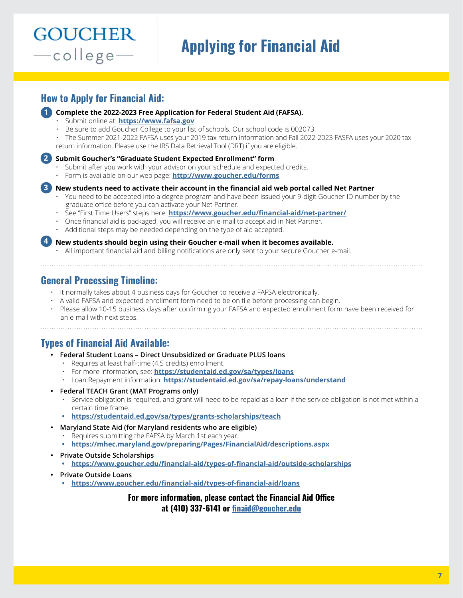# **Applying for Financial Aid**

# **How to Apply for Financial Aid:**

**GOUCHER** 

-college-

- **Complete the 2022-2023 Free Application for Federal Student Aid (FAFSA). 1**
	- Submit online at: **<https://www.fafsa.gov>**.
	- Be sure to add Goucher College to your list of schools. Our school code is 002073.

• The Summer 2021-2022 FAFSA uses your 2019 tax return information and Fall 2022-2023 FASFA uses your 2020 tax return information. Please use the IRS Data Retrieval Tool (DRT) if you are eligible.

#### **Submit Goucher's "Graduate Student Expected Enrollment" form**. **2**

- Submit after you work with your advisor on your schedule and expected credits.
- Form is available on our web page: **<http://www.goucher.edu/forms>**.

**New students need to activate their account in the financial aid web portal called Net Partner 3**

- You need to be accepted into a degree program and have been issued your 9-digit Goucher ID number by the graduate office before you can activate your Net Partner.
- See "First Time Users" steps here: **<https://www.goucher.edu/financial-aid/net-partner/>**.
- Once financial aid is packaged, you will receive an e-mail to accept aid in Net Partner.
- Additional steps may be needed depending on the type of aid accepted.

**New students should begin using their Goucher e-mail when it becomes available. 4**

• All important financial aid and billing notifications are only sent to your secure Goucher e-mail.

# **General Processing Timeline:**

- It normally takes about 4 business days for Goucher to receive a FAFSA electronically.
- A valid FAFSA and expected enrollment form need to be on file before processing can begin.
- Please allow 10-15 business days after confirming your FAFSA and expected enrollment form have been received for an e-mail with next steps.

# **Types of Financial Aid Available:**

- **Federal Student Loans Direct Unsubsidized or Graduate PLUS loans**
	- Requires at least half-time (4.5 credits) enrollment.
	- For more information, see: **<https://studentaid.ed.gov/sa/types/loans>**
	- Loan Repayment information: **<https://studentaid.ed.gov/sa/repay-loans/understand>**
- **Federal TEACH Grant (MAT Programs only)**
	- Service obligation is required, and grant will need to be repaid as a loan if the service obligation is not met within a certain time frame.
	- **•<https://studentaid.ed.gov/sa/types/grants-scholarships/teach>**
- **Maryland State Aid (for Maryland residents who are eligible)**
	- Requires submitting the FAFSA by March 1st each year.
	- **•<https://mhec.maryland.gov/preparing/Pages/FinancialAid/descriptions.aspx>**
- **Private Outside Scholarships**
	- **•<https://www.goucher.edu/financial-aid/types-of-financial-aid/outside-scholarships>**
- **Private Outside Loans**
	- **•<https://www.goucher.edu/financial-aid/types-of-financial-aid/loans>**

**For more information, please contact the Financial Aid Office at (410) 337-6141 or [finaid@goucher.edu](mailto:finaid%40goucher.edu?subject=)**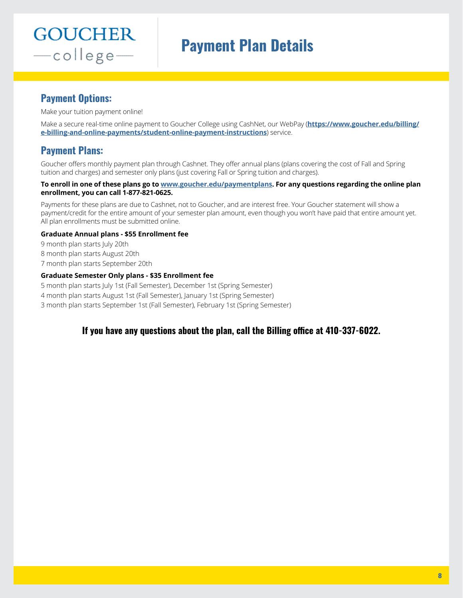# **Payment Plan Details**

# **Payment Options:**

Make your tuition payment online!

Make a secure real-time online payment to Goucher College using CashNet, our WebPay (**[https://www.goucher.edu/billing/](https://www.goucher.edu/billing/e-billing-and-online-payments/student-online-payment-instructions) [e-billing-and-online-payments/student-online-payment-instructions](https://www.goucher.edu/billing/e-billing-and-online-payments/student-online-payment-instructions)**) service.

# **Payment Plans:**

Goucher offers monthly payment plan through Cashnet. They offer annual plans (plans covering the cost of Fall and Spring tuition and charges) and semester only plans (just covering Fall or Spring tuition and charges).

#### **To enroll in one of these plans go to [www.goucher.edu/paymentplans](http://www.goucher.edu/paymentplans). For any questions regarding the online plan enrollment, you can call 1-877-821-0625.**

Payments for these plans are due to Cashnet, not to Goucher, and are interest free. Your Goucher statement will show a payment/credit for the entire amount of your semester plan amount, even though you won't have paid that entire amount yet. All plan enrollments must be submitted online.

### **Graduate Annual plans - \$55 Enrollment fee**

9 month plan starts July 20th

8 month plan starts August 20th

7 month plan starts September 20th

### **Graduate Semester Only plans - \$35 Enrollment fee**

5 month plan starts July 1st (Fall Semester), December 1st (Spring Semester)

4 month plan starts August 1st (Fall Semester), January 1st (Spring Semester)

3 month plan starts September 1st (Fall Semester), February 1st (Spring Semester)

# **If you have any questions about the plan, call the Billing office at 410-337-6022.**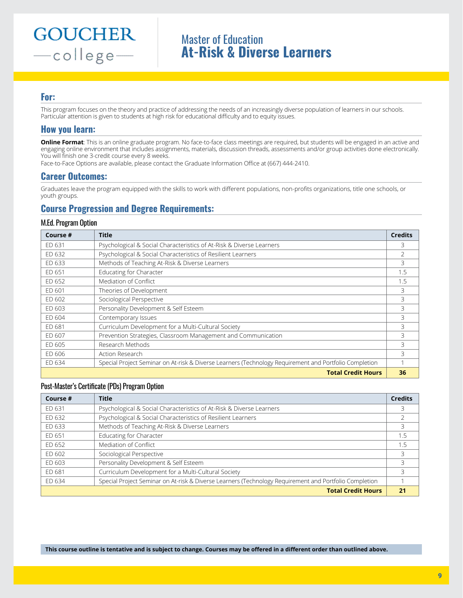# Master of Education **At-Risk & Diverse Learners**

### **For:**

This program focuses on the theory and practice of addressing the needs of an increasingly diverse population of learners in our schools. Particular attention is given to students at high risk for educational difficulty and to equity issues.

## **How you learn:**

**Online Format**: This is an online graduate program. No face-to-face class meetings are required, but students will be engaged in an active and engaging online environment that includes assignments, materials, discussion threads, assessments and/or group activities done electronically. You will finish one 3-credit course every 8 weeks.

Face-to-Face Options are available, please contact the Graduate Information Office at (667) 444-2410.

### **Career Outcomes:**

Graduates leave the program equipped with the skills to work with different populations, non-profits organizations, title one schools, or youth groups.

# **Course Progression and Degree Requirements:**

#### M.Ed. Program Option

| Course # | <b>Title</b>                                                                                           | <b>Credits</b> |
|----------|--------------------------------------------------------------------------------------------------------|----------------|
| ED 631   | Psychological & Social Characteristics of At-Risk & Diverse Learners                                   | 3              |
| ED 632   | Psychological & Social Characteristics of Resilient Learners                                           | $\mathcal{P}$  |
| ED 633   | Methods of Teaching At-Risk & Diverse Learners                                                         | 3              |
| ED 651   | Educating for Character                                                                                | 1.5            |
| FD 652   | Mediation of Conflict                                                                                  | 1.5            |
| ED 601   | Theories of Development                                                                                | 3              |
| FD 602   | Sociological Perspective                                                                               | 3              |
| ED 603   | Personality Development & Self Esteem                                                                  | 3              |
| ED 604   | Contemporary Issues                                                                                    | 3              |
| ED 681   | Curriculum Development for a Multi-Cultural Society                                                    | 3              |
| ED 607   | Prevention Strategies, Classroom Management and Communication                                          | 3              |
| ED 605   | Research Methods                                                                                       | 3              |
| ED 606   | Action Research                                                                                        | 3              |
| ED 634   | Special Project Seminar on At-risk & Diverse Learners (Technology Requirement and Portfolio Completion | 1              |
|          | <b>Total Credit Hours</b>                                                                              | 36             |

#### Post-Master's Certificate (PDs) Program Option

| Course # | <b>Title</b>                                                                                           | <b>Credits</b> |
|----------|--------------------------------------------------------------------------------------------------------|----------------|
| ED 631   | Psychological & Social Characteristics of At-Risk & Diverse Learners                                   |                |
| ED 632   | Psychological & Social Characteristics of Resilient Learners                                           |                |
| ED 633   | Methods of Teaching At-Risk & Diverse Learners                                                         |                |
| ED 651   | Educating for Character                                                                                | 1.5            |
| ED 652   | Mediation of Conflict                                                                                  | 1.5            |
| ED 602   | Sociological Perspective                                                                               | 3              |
| ED 603   | Personality Development & Self Esteem                                                                  |                |
| FD 681   | Curriculum Development for a Multi-Cultural Society                                                    | 3              |
| ED 634   | Special Project Seminar on At-risk & Diverse Learners (Technology Requirement and Portfolio Completion |                |
|          | <b>Total Credit Hours</b>                                                                              | 2 <sub>1</sub> |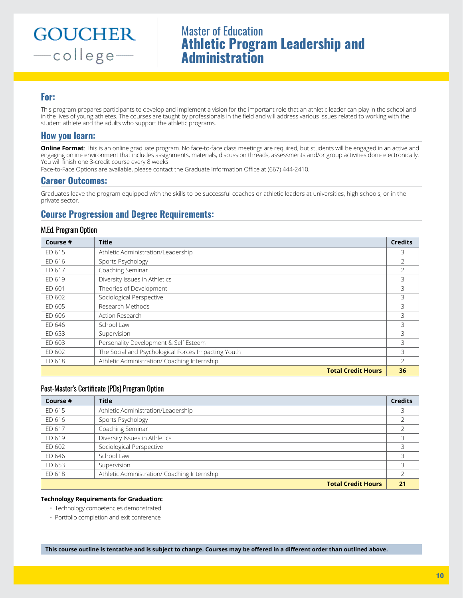# Master of Education **Athletic Program Leadership and Administration**

## **For:**

This program prepares participants to develop and implement a vision for the important role that an athletic leader can play in the school and in the lives of young athletes. The courses are taught by professionals in the field and will address various issues related to working with the student athlete and the adults who support the athletic programs.

## **How you learn:**

**Online Format**: This is an online graduate program. No face-to-face class meetings are required, but students will be engaged in an active and engaging online environment that includes assignments, materials, discussion threads, assessments and/or group activities done electronically. You will finish one 3-credit course every 8 weeks.

Face-to-Face Options are available, please contact the Graduate Information Office at (667) 444-2410.

### **Career Outcomes:**

Graduates leave the program equipped with the skills to be successful coaches or athletic leaders at universities, high schools, or in the private sector.

# **Course Progression and Degree Requirements:**

#### M.Ed. Program Option

| Course # | <b>Title</b>                                        | <b>Credits</b> |
|----------|-----------------------------------------------------|----------------|
| ED 615   | Athletic Administration/Leadership                  | 3              |
| ED 616   | Sports Psychology                                   | $\mathcal{P}$  |
| ED 617   | Coaching Seminar                                    | $\mathcal{P}$  |
| ED 619   | Diversity Issues in Athletics                       | 3              |
| ED 601   | Theories of Development                             | 3              |
| ED 602   | Sociological Perspective                            | 3              |
| ED 605   | Research Methods                                    | 3              |
| ED 606   | Action Research                                     | 3              |
| ED 646   | School Law                                          | 3              |
| ED 653   | Supervision                                         | 3              |
| ED 603   | Personality Development & Self Esteem               | 3              |
| ED 602   | The Social and Psychological Forces Impacting Youth | 3              |
| ED 618   | Athletic Administration/ Coaching Internship        |                |
|          | <b>Total Credit Hours</b>                           | 36             |

#### Post-Master's Certificate (PDs) Program Option

| Course # | <b>Title</b>                                 | <b>Credits</b> |
|----------|----------------------------------------------|----------------|
| ED 615   | Athletic Administration/Leadership           |                |
| ED 616   | Sports Psychology                            |                |
| ED 617   | Coaching Seminar                             |                |
| ED 619   | Diversity Issues in Athletics                |                |
| ED 602   | Sociological Perspective                     |                |
| ED 646   | School Law                                   |                |
| ED 653   | Supervision                                  |                |
| ED 618   | Athletic Administration/ Coaching Internship |                |
|          | <b>Total Credit Hours</b>                    | 21             |

#### **Technology Requirements for Graduation:**

- Technology competencies demonstrated
- Portfolio completion and exit conference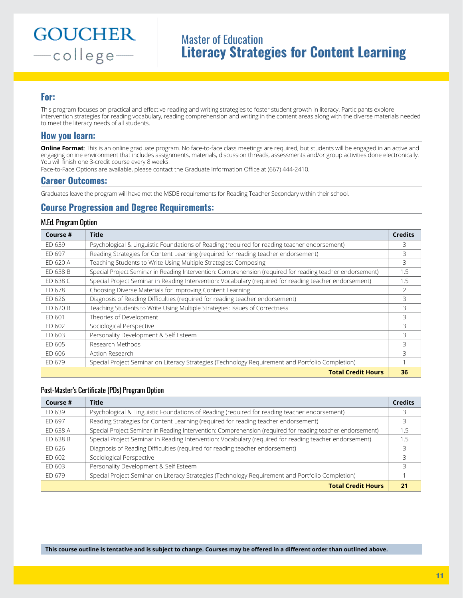# Master of Education **Literacy Strategies for Content Learning**

### **For:**

This program focuses on practical and effective reading and writing strategies to foster student growth in literacy. Participants explore intervention strategies for reading vocabulary, reading comprehension and writing in the content areas along with the diverse materials needed to meet the literacy needs of all students.

### **How you learn:**

**Online Format**: This is an online graduate program. No face-to-face class meetings are required, but students will be engaged in an active and engaging online environment that includes assignments, materials, discussion threads, assessments and/or group activities done electronically. You will finish one 3-credit course every 8 weeks.

Face-to-Face Options are available, please contact the Graduate Information Office at (667) 444-2410.

### **Career Outcomes:**

Graduates leave the program will have met the MSDE requirements for Reading Teacher Secondary within their school.

# **Course Progression and Degree Requirements:**

#### M.Ed. Program Option

| Course # | Title                                                                                                     | <b>Credits</b> |
|----------|-----------------------------------------------------------------------------------------------------------|----------------|
| FD 639   | Psychological & Linguistic Foundations of Reading (required for reading teacher endorsement)              | 3              |
| ED 697   | Reading Strategies for Content Learning (required for reading teacher endorsement)                        | 3              |
| ED 620 A | Teaching Students to Write Using Multiple Strategies: Composing                                           | 3              |
| ED 638 B | Special Project Seminar in Reading Intervention: Comprehension (required for reading teacher endorsement) | 1.5            |
| FD 638 C | Special Project Seminar in Reading Intervention: Vocabulary (required for reading teacher endorsement)    | 1.5            |
| FD 678   | Choosing Diverse Materials for Improving Content Learning                                                 | $\mathfrak{D}$ |
| ED 626   | Diagnosis of Reading Difficulties (required for reading teacher endorsement)                              | 3              |
| FD 620 B | Teaching Students to Write Using Multiple Strategies: Issues of Correctness                               | 3              |
| ED 601   | Theories of Development                                                                                   | 3              |
| FD 602   | Sociological Perspective                                                                                  | 3              |
| ED 603   | Personality Development & Self Esteem                                                                     | 3              |
| ED 605   | Research Methods                                                                                          | 3              |
| ED 606   | Action Research                                                                                           | 3              |
| ED 679   | Special Project Seminar on Literacy Strategies (Technology Requirement and Portfolio Completion)          |                |
|          | <b>Total Credit Hours</b>                                                                                 | 36             |

#### Post-Master's Certificate (PDs) Program Option

| Course # | <b>Title</b>                                                                                              | <b>Credits</b> |
|----------|-----------------------------------------------------------------------------------------------------------|----------------|
| ED 639   | Psychological & Linguistic Foundations of Reading (required for reading teacher endorsement)              |                |
| ED 697   | Reading Strategies for Content Learning (required for reading teacher endorsement)                        | 3              |
| ED 638 A | Special Project Seminar in Reading Intervention: Comprehension (required for reading teacher endorsement) | 1.5            |
| FD 638 B | Special Project Seminar in Reading Intervention: Vocabulary (required for reading teacher endorsement)    | 1.5            |
| ED 626   | Diagnosis of Reading Difficulties (required for reading teacher endorsement)                              | 3              |
| ED 602   | Sociological Perspective                                                                                  | 3              |
| ED 603   | Personality Development & Self Esteem                                                                     | 3              |
| ED 679   | Special Project Seminar on Literacy Strategies (Technology Requirement and Portfolio Completion)          |                |
|          | <b>Total Credit Hours</b>                                                                                 | 21             |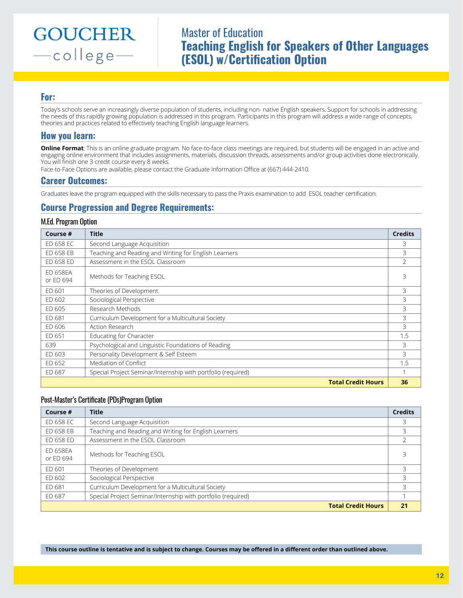# Master of Education **Teaching English for Speakers of Other Languages (ESOL) w/Certification Option**

### **For:**

Today's schools serve an increasingly diverse population of students, including non- native English speakers. Support for schools in addressing the needs of this rapidly growing population is addressed in this program. Participants in this program will address a wide range of concepts, theories and practices related to effectively teaching English language learners.

## **How you learn:**

**Online Format**: This is an online graduate program. No face-to-face class meetings are required, but students will be engaged in an active and engaging online environment that includes assignments, materials, discussion threads, assessments and/or group activities done electronically. You will finish one 3-credit course every 8 weeks.

Face-to-Face Options are available, please contact the Graduate Information Office at (667) 444-2410.

### **Career Outcomes:**

Graduates leave the program equipped with the skills necessary to pass the Praxis examination to add ESOL teacher certification.

# **Course Progression and Degree Requirements:**

#### M.Ed. Program Option

| Course #                     | <b>Title</b>                                                 | <b>Credits</b> |
|------------------------------|--------------------------------------------------------------|----------------|
| ED 658 EC                    | Second Language Acquisition                                  | 3              |
| ED 658 EB                    | Teaching and Reading and Writing for English Learners        | 3              |
| ED 658 ED                    | Assessment in the ESOL Classroom                             | $\overline{2}$ |
| <b>ED 658EA</b><br>or ED 694 | Methods for Teaching ESOL                                    | 3              |
| ED 601                       | Theories of Development                                      | 3              |
| FD 602                       | Sociological Perspective                                     | 3              |
| ED 605                       | Research Methods                                             | 3              |
| ED 681                       | Curriculum Development for a Multicultural Society           | 3              |
| ED 606                       | Action Research                                              | 3              |
| ED 651                       | Educating for Character                                      | 1.5            |
| 639                          | Psychological and Linguistic Foundations of Reading          | 3              |
| ED 603                       | Personality Development & Self Esteem                        | 3              |
| ED 652                       | Mediation of Conflict                                        | 1.5            |
| ED 687                       | Special Project Seminar/Internship with portfolio (required) |                |
|                              | <b>Total Credit Hours</b>                                    | 36             |

#### Post-Master's Certificate (PDs)Program Option

| Course #                     | <b>Title</b>                                                 | <b>Credits</b> |
|------------------------------|--------------------------------------------------------------|----------------|
| ED 658 EC                    | Second Language Acquisition                                  | 3              |
| ED 658 EB                    | Teaching and Reading and Writing for English Learners        | 3              |
| ED 658 ED                    | Assessment in the ESOL Classroom                             |                |
| <b>FD 658FA</b><br>or FD 694 | Methods for Teaching ESOL                                    |                |
| FD 601                       | Theories of Development                                      | 3              |
| ED 602                       | Sociological Perspective                                     | 3              |
| ED 681                       | Curriculum Development for a Multicultural Society           | 3              |
| ED 687                       | Special Project Seminar/Internship with portfolio (required) |                |
|                              | <b>Total Credit Hours</b>                                    | 21             |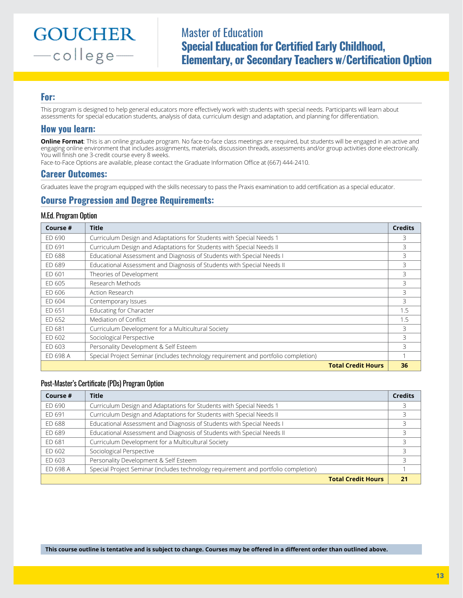Master of Education **Special Education for Certified Early Childhood, Elementary, or Secondary Teachers w/Certification Option**

### **For:**

This program is designed to help general educators more effectively work with students with special needs. Participants will learn about assessments for special education students, analysis of data, curriculum design and adaptation, and planning for differentiation.

### **How you learn:**

**Online Format**: This is an online graduate program. No face-to-face class meetings are required, but students will be engaged in an active and engaging online environment that includes assignments, materials, discussion threads, assessments and/or group activities done electronically. You will finish one 3-credit course every 8 weeks.

Face-to-Face Options are available, please contact the Graduate Information Office at (667) 444-2410.

#### **Career Outcomes:**

Graduates leave the program equipped with the skills necessary to pass the Praxis examination to add certification as a special educator.

## **Course Progression and Degree Requirements:**

#### M.Ed. Program Option

| Course # | <b>Title</b>                                                                       | <b>Credits</b> |
|----------|------------------------------------------------------------------------------------|----------------|
| ED 690   | Curriculum Design and Adaptations for Students with Special Needs 1                | 3              |
| ED 691   | Curriculum Design and Adaptations for Students with Special Needs II               | 3              |
| ED 688   | Educational Assessment and Diagnosis of Students with Special Needs I              | 3              |
| ED 689   | Educational Assessment and Diagnosis of Students with Special Needs II             | 3              |
| ED 601   | Theories of Development                                                            | 3              |
| FD 605   | Research Methods                                                                   | 3              |
| ED 606   | Action Research                                                                    | 3              |
| FD 604   | Contemporary Issues                                                                | 3              |
| ED 651   | Educating for Character                                                            | 1.5            |
| FD 652   | Mediation of Conflict                                                              | 1.5            |
| ED 681   | Curriculum Development for a Multicultural Society                                 | 3              |
| FD 602   | Sociological Perspective                                                           | 3              |
| ED 603   | Personality Development & Self Esteem                                              | 3              |
| ED 698 A | Special Project Seminar (includes technology requirement and portfolio completion) |                |
|          | <b>Total Credit Hours</b>                                                          | 36             |

#### Post-Master's Certificate (PDs) Program Option

| Course # | <b>Title</b>                                                                       | <b>Credits</b> |
|----------|------------------------------------------------------------------------------------|----------------|
| ED 690   | Curriculum Design and Adaptations for Students with Special Needs 1                | 3              |
| ED 691   | Curriculum Design and Adaptations for Students with Special Needs II               | 3              |
| ED 688   | Educational Assessment and Diagnosis of Students with Special Needs I              | 3              |
| ED 689   | Educational Assessment and Diagnosis of Students with Special Needs II             |                |
| ED 681   | Curriculum Development for a Multicultural Society                                 | 3              |
| ED 602   | Sociological Perspective                                                           | 3              |
| ED 603   | Personality Development & Self Esteem                                              | 3              |
| ED 698 A | Special Project Seminar (includes technology requirement and portfolio completion) |                |
|          | <b>Total Credit Hours</b>                                                          | 21             |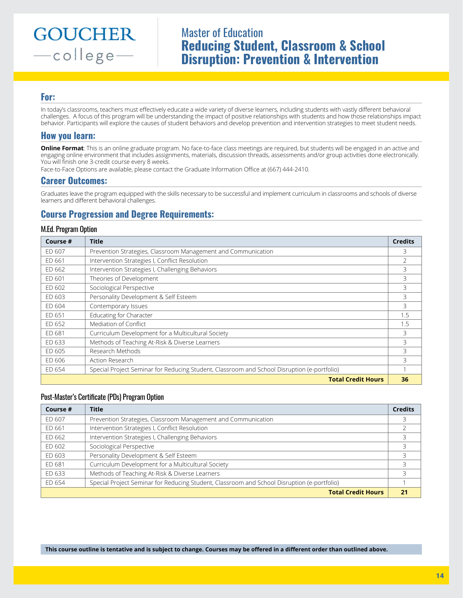# Master of Education **Reducing Student, Classroom & School Disruption: Prevention & Intervention**

## **For:**

In today's classrooms, teachers must effectively educate a wide variety of diverse learners, including students with vastly different behavioral challenges. A focus of this program will be understanding the impact of positive relationships with students and how those relationships impact behavior. Participants will explore the causes of student behaviors and develop prevention and intervention strategies to meet student needs.

## **How you learn:**

**Online Format**: This is an online graduate program. No face-to-face class meetings are required, but students will be engaged in an active and engaging online environment that includes assignments, materials, discussion threads, assessments and/or group activities done electronically. You will finish one 3-credit course every 8 weeks.

Face-to-Face Options are available, please contact the Graduate Information Office at (667) 444-2410.

### **Career Outcomes:**

Graduates leave the program equipped with the skills necessary to be successful and implement curriculum in classrooms and schools of diverse learners and different behavioral challenges.

# **Course Progression and Degree Requirements:**

#### M.Ed. Program Option

| Course # | <b>Title</b>                                                                                | <b>Credits</b> |
|----------|---------------------------------------------------------------------------------------------|----------------|
| FD 607   | Prevention Strategies, Classroom Management and Communication                               | 3              |
| ED 661   | Intervention Strategies I, Conflict Resolution                                              | $\mathcal{P}$  |
| ED 662   | Intervention Strategies I, Challenging Behaviors                                            | 3              |
| ED 601   | Theories of Development                                                                     | 3              |
| FD 602   | Sociological Perspective                                                                    | 3              |
| ED 603   | Personality Development & Self Esteem                                                       | 3              |
| ED 604   | Contemporary Issues                                                                         | 3              |
| ED 651   | Educating for Character                                                                     | 1.5            |
| ED 652   | Mediation of Conflict                                                                       | 1.5            |
| ED 681   | Curriculum Development for a Multicultural Society                                          | 3              |
| ED 633   | Methods of Teaching At-Risk & Diverse Learners                                              | 3              |
| ED 605   | Research Methods                                                                            | 3              |
| ED 606   | Action Research                                                                             | 3              |
| ED 654   | Special Project Seminar for Reducing Student, Classroom and School Disruption (e-portfolio) |                |
|          | <b>Total Credit Hours</b>                                                                   | 36             |

#### Post-Master's Certificate (PDs) Program Option

| Course # | <b>Title</b>                                                                                | <b>Credits</b> |
|----------|---------------------------------------------------------------------------------------------|----------------|
| ED 607   | Prevention Strategies, Classroom Management and Communication                               | 3              |
| ED 661   | Intervention Strategies I, Conflict Resolution                                              |                |
| ED 662   | Intervention Strategies I, Challenging Behaviors                                            | 3              |
| ED 602   | Sociological Perspective                                                                    |                |
| ED 603   | Personality Development & Self Esteem                                                       | 3              |
| ED 681   | Curriculum Development for a Multicultural Society                                          | 3              |
| ED 633   | Methods of Teaching At-Risk & Diverse Learners                                              | 3              |
| ED 654   | Special Project Seminar for Reducing Student, Classroom and School Disruption (e-portfolio) |                |
|          | <b>Total Credit Hours</b>                                                                   | 21             |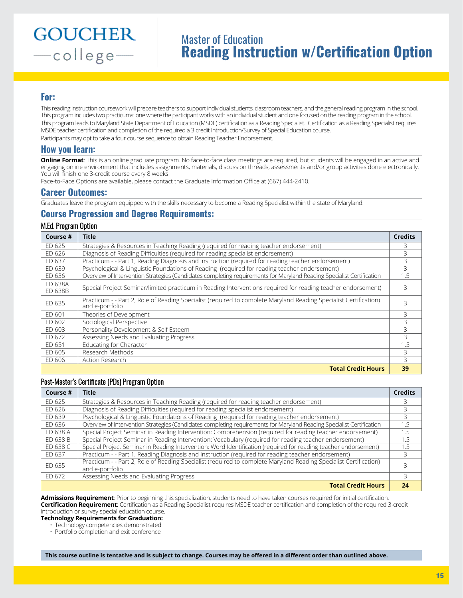# Master of Education **Reading Instruction w/Certification Option**

### **For:**

This reading instruction coursework will prepare teachers to support individual students, classroom teachers, and the general reading program in the school. This program includes two practicums: one where the participant works with an individual student and one focused on the reading program in the school. This program leads to Maryland State Department of Education (MSDE) certification as a Reading Specialist. Certification as a Reading Specialist requires MSDE teacher certification and completion of the required a 3 credit Introduction/Survey of Special Education course. Participants may opt to take a four course sequence to obtain Reading Teacher Endorsement.

### **How you learn:**

**Online Format**: This is an online graduate program. No face-to-face class meetings are required, but students will be engaged in an active and engaging online environment that includes assignments, materials, discussion threads, assessments and/or group activities done electronically. You will finish one 3-credit course every 8 weeks.

Face-to-Face Options are available, please contact the Graduate Information Office at (667) 444-2410.

#### **Career Outcomes:**

Graduates leave the program equipped with the skills necessary to become a Reading Specialist within the state of Maryland.

### **Course Progression and Degree Requirements:**

#### M.Ed. Program Option

| Course #           | <b>Title</b>                                                                                                                         | <b>Credits</b> |
|--------------------|--------------------------------------------------------------------------------------------------------------------------------------|----------------|
| FD 625             | Strategies & Resources in Teaching Reading (required for reading teacher endorsement)                                                |                |
| FD 626             | Diagnosis of Reading Difficulties (required for reading specialist endorsement)                                                      | 3              |
| ED 637             | Practicum - - Part 1, Reading Diagnosis and Instruction (required for reading teacher endorsement)                                   | 3              |
| ED 639             | Psychological & Linguistic Foundations of Reading (required for reading teacher endorsement)                                         | 3              |
| ED 636             | Overview of Intervention Strategies (Candidates completing requirements for Maryland Reading Specialist Certification                | 1.5            |
| FD 638A<br>ED 638B | Special Project Seminar/limited practicum in Reading Interventions required for reading teacher endorsement)                         | 3              |
| ED 635             | Practicum - - Part 2, Role of Reading Specialist (required to complete Maryland Reading Specialist Certification)<br>and e-portfolio | 3              |
| FD 601             | Theories of Development                                                                                                              | 3              |
| FD 602             | Sociological Perspective                                                                                                             | 3              |
| FD 603             | Personality Development & Self Esteem                                                                                                | 3              |
| FD 672             | Assessing Needs and Evaluating Progress                                                                                              | 3              |
| ED 651             | Educating for Character                                                                                                              | 1.5            |
| FD 605             | Research Methods                                                                                                                     | 3              |
| FD 606             | Action Research                                                                                                                      | $\mathcal{L}$  |
|                    | <b>Total Credit Hours</b>                                                                                                            | 39             |

#### Post-Master's Certificate (PDs) Program Option

| Course # | Title                                                                                                                                | <b>Credits</b> |
|----------|--------------------------------------------------------------------------------------------------------------------------------------|----------------|
| FD 625   | Strategies & Resources in Teaching Reading (required for reading teacher endorsement)                                                |                |
| ED 626   | Diagnosis of Reading Difficulties (required for reading specialist endorsement)                                                      | 3              |
| ED 639   | Psychological & Linguistic Foundations of Reading (required for reading teacher endorsement)                                         | 3              |
| ED 636   | Overview of Intervention Strategies (Candidates completing requirements for Maryland Reading Specialist Certification                | 1.5            |
| ED 638 A | Special Project Seminar in Reading Intervention: Comprehension (required for reading teacher endorsement)                            | 1.5            |
| ED 638 B | Special Project Seminar in Reading Intervention: Vocabulary (required for reading teacher endorsement)                               | 1.5            |
| FD 638 C | Special Project Seminar in Reading Intervention: Word Identification (required for reading teacher endorsement)                      | 1.5            |
| ED 637   | Practicum - - Part 1, Reading Diagnosis and Instruction (required for reading teacher endorsement)                                   | 3              |
| ED 635   | Practicum - - Part 2, Role of Reading Specialist (required to complete Maryland Reading Specialist Certification)<br>and e-portfolio |                |
| ED 672   | Assessing Needs and Evaluating Progress                                                                                              | 3              |
|          | <b>Total Credit Hours</b>                                                                                                            | 24             |

**Admissions Requirement**: Prior to beginning this specialization, students need to have taken courses required for initial certification. **Certification Requirement**: Certification as a Reading Specialist requires MSDE teacher certification and completion of the required 3-credit introduction or survey special education course.

**Technology Requirements for Graduation:**

• Technology competencies demonstrated

• Portfolio completion and exit conference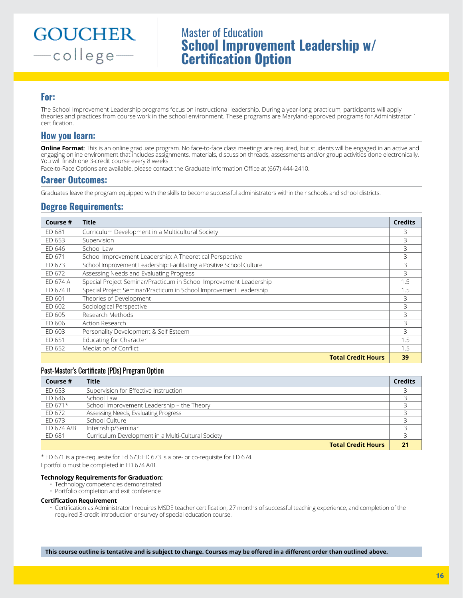# Master of Education **School Improvement Leadership w/ Certification Option**

## **For:**

The School Improvement Leadership programs focus on instructional leadership. During a year-long practicum, participants will apply theories and practices from course work in the school environment. These programs are Maryland-approved programs for Administrator 1 certification.

### **How you learn:**

**Online Format**: This is an online graduate program. No face-to-face class meetings are required, but students will be engaged in an active and engaging online environment that includes assignments, materials, discussion threads, assessments and/or group activities done electronically. You will finish one 3-credit course every 8 weeks.

Face-to-Face Options are available, please contact the Graduate Information Office at (667) 444-2410.

### **Career Outcomes:**

Graduates leave the program equipped with the skills to become successful administrators within their schools and school districts.

## **Degree Requirements:**

| Course # | <b>Title</b>                                                          | <b>Credits</b> |
|----------|-----------------------------------------------------------------------|----------------|
| ED 681   | Curriculum Development in a Multicultural Society                     | 3              |
| ED 653   | Supervision                                                           | 3              |
| ED 646   | School Law                                                            | 3              |
| ED 671   | School Improvement Leadership: A Theoretical Perspective              | 3              |
| ED 673   | School Improvement Leadership: Facilitating a Positive School Culture | 3              |
| ED 672   | Assessing Needs and Evaluating Progress                               | 3              |
| ED 674 A | Special Project Seminar/Practicum in School Improvement Leadership    | 1.5            |
| FD 674 B | Special Project Seminar/Practicum in School Improvement Leadership    | 1.5            |
| FD 601   | Theories of Development                                               | 3              |
| ED 602   | Sociological Perspective                                              | 3              |
| ED 605   | Research Methods                                                      | 3              |
| FD 606   | Action Research                                                       | 3              |
| ED 603   | Personality Development & Self Esteem                                 | 3              |
| ED 651   | Educating for Character                                               | 1.5            |
| FD 652   | Mediation of Conflict                                                 | 1.5            |
|          | <b>Total Credit Hours</b>                                             | 39             |

#### Post-Master's Certificate (PDs) Program Option

| Course #   | <b>Title</b>                                       | <b>Credits</b> |
|------------|----------------------------------------------------|----------------|
| ED 653     | Supervision for Effective Instruction              |                |
| ED 646     | School Law                                         |                |
| ED 671*    | School Improvement Leadership - the Theory         |                |
| ED 672     | Assessing Needs, Evaluating Progress               |                |
| FD 673     | School Culture                                     |                |
| ED 674 A/B | Internship/Seminar                                 |                |
| ED 681     | Curriculum Development in a Multi-Cultural Society |                |
|            | <b>Total Credit Hours</b>                          | 21             |

\* ED 671 is a pre-requesite for Ed 673; ED 673 is a pre- or co-requisite for ED 674.

Eportfolio must be completed in ED 674 A/B.

#### **Technology Requirements for Graduation:**

- Technology competencies demonstrated
- Portfolio completion and exit conference

#### **Certification Requirement**

• Certification as Administrator I requires MSDE teacher certification, 27 months of successful teaching experience, and completion of the required 3-credit introduction or survey of special education course.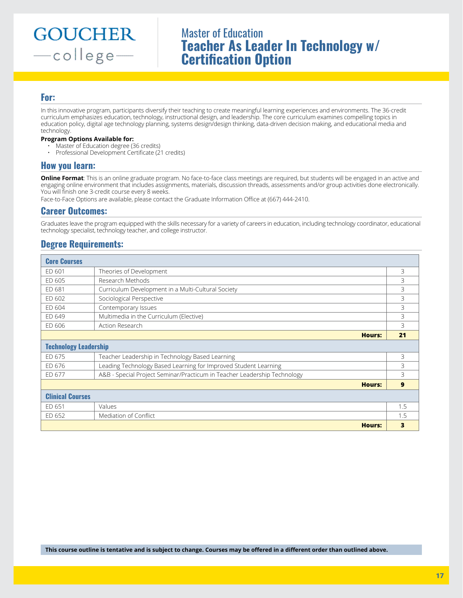# Master of Education **Teacher As Leader In Technology w/ Certification Option**

### **For:**

In this innovative program, participants diversify their teaching to create meaningful learning experiences and environments. The 36-credit curriculum emphasizes education, technology, instructional design, and leadership. The core curriculum examines compelling topics in education policy, digital age technology planning, systems design/design thinking, data-driven decision making, and educational media and technology.

#### **Program Options Available for:**

- Master of Education degree (36 credits)
- Professional Development Certificate (21 credits)

### **How you learn:**

**Online Format**: This is an online graduate program. No face-to-face class meetings are required, but students will be engaged in an active and engaging online environment that includes assignments, materials, discussion threads, assessments and/or group activities done electronically. You will finish one 3-credit course every 8 weeks.

Face-to-Face Options are available, please contact the Graduate Information Office at (667) 444-2410.

### **Career Outcomes:**

Graduates leave the program equipped with the skills necessary for a variety of careers in education, including technology coordinator, educational technology specialist, technology teacher, and college instructor.

# **Degree Requirements:**

| <b>Core Courses</b>          |                                                                          |     |
|------------------------------|--------------------------------------------------------------------------|-----|
| ED 601                       | Theories of Development                                                  | 3   |
| ED 605                       | Research Methods                                                         | 3   |
| ED 681                       | Curriculum Development in a Multi-Cultural Society                       | 3   |
| ED 602                       | Sociological Perspective                                                 | 3   |
| ED 604                       | Contemporary Issues                                                      | 3   |
| ED 649                       | Multimedia in the Curriculum (Elective)                                  | 3   |
| ED 606                       | Action Research                                                          | 3   |
|                              | <b>Hours:</b>                                                            | 21  |
| <b>Technology Leadership</b> |                                                                          |     |
| ED 675                       | Teacher Leadership in Technology Based Learning                          | 3   |
| ED 676                       | Leading Technology Based Learning for Improved Student Learning          | 3   |
| ED 677                       | A&B - Special Project Seminar/Practicum in Teacher Leadership Technology | 3   |
|                              | <b>Hours:</b>                                                            | 9   |
| <b>Clinical Courses</b>      |                                                                          |     |
| ED 651                       | Values                                                                   | 1.5 |
| ED 652                       | Mediation of Conflict                                                    | 1.5 |
|                              | <b>Hours:</b>                                                            | 3   |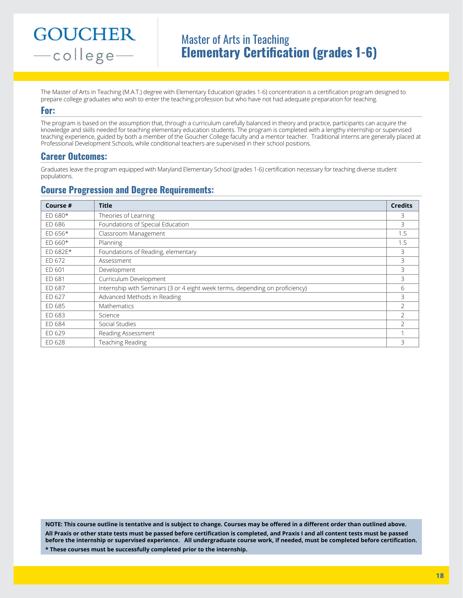# Master of Arts in Teaching **Elementary Certification (grades 1-6)**

The Master of Arts in Teaching (M.A.T.) degree with Elementary Education (grades 1-6) concentration is a certification program designed to prepare college graduates who wish to enter the teaching profession but who have not had adequate preparation for teaching.

#### **For:**

The program is based on the assumption that, through a curriculum carefully balanced in theory and practice, participants can acquire the knowledge and skills needed for teaching elementary education students. The program is completed with a lengthy internship or supervised teaching experience, guided by both a member of the Goucher College faculty and a mentor teacher. Traditional interns are generally placed at Professional Development Schools, while conditional teachers are supervised in their school positions.

### **Career Outcomes:**

Graduates leave the program equipped with Maryland Elementary School (grades 1-6) certification necessary for teaching diverse student populations.

## **Course Progression and Degree Requirements:**

| Course #  | <b>Title</b>                                                                 | <b>Credits</b>           |
|-----------|------------------------------------------------------------------------------|--------------------------|
| $ED 680*$ | Theories of Learning                                                         | 3                        |
| ED 686    | Foundations of Special Education                                             | 3                        |
| $ED 656*$ | Classroom Management                                                         | 1.5                      |
| $ED 660*$ | Planning                                                                     | 1.5                      |
| ED 682E*  | Foundations of Reading, elementary                                           | 3                        |
| ED 672    | Assessment                                                                   | 3                        |
| ED 601    | Development                                                                  | 3                        |
| ED 681    | Curriculum Development                                                       | 3                        |
| ED 687    | Internship with Seminars (3 or 4 eight week terms, depending on proficiency) | 6                        |
| ED 627    | Advanced Methods in Reading                                                  | 3                        |
| ED 685    | Mathematics                                                                  | $\mathcal{P}$            |
| ED 683    | Science                                                                      | $\mathcal{P}$            |
| ED 684    | Social Studies                                                               | $\overline{\phantom{a}}$ |
| ED 629    | Reading Assessment                                                           |                          |
| ED 628    | Teaching Reading                                                             | 3                        |

**NOTE: This course outline is tentative and is subject to change. Courses may be offered in a different order than outlined above. All Praxis or other state tests must be passed before certification is completed, and Praxis I and all content tests must be passed before the internship or supervised experience. All undergraduate course work, if needed, must be completed before certification. \* These courses must be successfully completed prior to the internship.**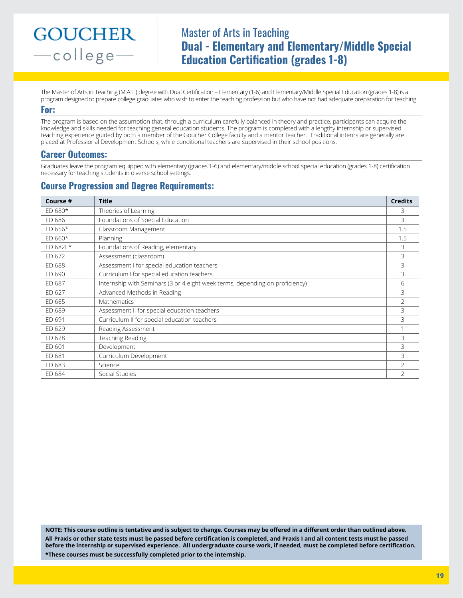# Master of Arts in Teaching **Dual - Elementary and Elementary/Middle Special Education Certification (grades 1-8)**

The Master of Arts in Teaching (M.A.T.) degree with Dual Certification – Elementary (1-6) and Elementary/Middle Special Education (grades 1-8) is a program designed to prepare college graduates who wish to enter the teaching profession but who have not had adequate preparation for teaching.

#### **For:**

The program is based on the assumption that, through a curriculum carefully balanced in theory and practice, participants can acquire the knowledge and skills needed for teaching general education students. The program is completed with a lengthy internship or supervised teaching experience guided by both a member of the Goucher College faculty and a mentor teacher. Traditional interns are generally are placed at Professional Development Schools, while conditional teachers are supervised in their school positions.

### **Career Outcomes:**

Graduates leave the program equipped with elementary (grades 1-6) and elementary/middle school special education (grades 1-8) certification necessary for teaching students in diverse school settings.

# **Course Progression and Degree Requirements:**

| Course #  | <b>Title</b>                                                                 | <b>Credits</b> |
|-----------|------------------------------------------------------------------------------|----------------|
| $ED 680*$ | Theories of Learning                                                         | 3              |
| ED 686    | Foundations of Special Education                                             | 3              |
| $ED 656*$ | Classroom Management                                                         | 1.5            |
| $ED 660*$ | Planning                                                                     | 1.5            |
| ED 682E*  | Foundations of Reading, elementary                                           | 3              |
| ED 672    | Assessment (classroom)                                                       | 3              |
| ED 688    | Assessment I for special education teachers                                  | 3              |
| ED 690    | Curriculum I for special education teachers                                  | 3              |
| ED 687    | Internship with Seminars (3 or 4 eight week terms, depending on proficiency) | 6              |
| ED 627    | Advanced Methods in Reading                                                  | 3              |
| ED 685    | Mathematics                                                                  | 2              |
| ED 689    | Assessment II for special education teachers                                 | 3              |
| ED 691    | Curriculum II for special education teachers                                 | 3              |
| ED 629    | Reading Assessment                                                           |                |
| ED 628    | Teaching Reading                                                             | 3              |
| ED 601    | Development                                                                  | 3              |
| ED 681    | Curriculum Development                                                       | 3              |
| ED 683    | Science                                                                      | 2              |
| ED 684    | Social Studies                                                               | $\mathcal{P}$  |

**NOTE: This course outline is tentative and is subject to change. Courses may be offered in a different order than outlined above. All Praxis or other state tests must be passed before certification is completed, and Praxis I and all content tests must be passed before the internship or supervised experience. All undergraduate course work, if needed, must be completed before certification. \*These courses must be successfully completed prior to the internship.**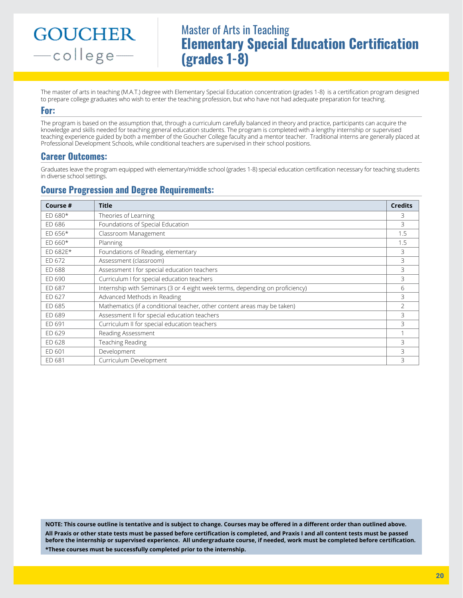# Master of Arts in Teaching **Elementary Special Education Certification (grades 1-8)**

The master of arts in teaching (M.A.T.) degree with Elementary Special Education concentration (grades 1-8) is a certification program designed to prepare college graduates who wish to enter the teaching profession, but who have not had adequate preparation for teaching.

#### **For:**

The program is based on the assumption that, through a curriculum carefully balanced in theory and practice, participants can acquire the knowledge and skills needed for teaching general education students. The program is completed with a lengthy internship or supervised teaching experience guided by both a member of the Goucher College faculty and a mentor teacher. Traditional interns are generally placed at Professional Development Schools, while conditional teachers are supervised in their school positions.

## **Career Outcomes:**

Graduates leave the program equipped with elementary/middle school (grades 1-8) special education certification necessary for teaching students in diverse school settings.

# **Course Progression and Degree Requirements:**

| Course #  | <b>Title</b>                                                                 | <b>Credits</b> |
|-----------|------------------------------------------------------------------------------|----------------|
| $ED 680*$ | Theories of Learning                                                         | 3              |
| FD 686    | Foundations of Special Education                                             | 3              |
| $ED 656*$ | Classroom Management                                                         | 1.5            |
| $FD660*$  | Planning                                                                     | 1.5            |
| ED 682E*  | Foundations of Reading, elementary                                           | 3              |
| ED 672    | Assessment (classroom)                                                       | 3              |
| ED 688    | Assessment I for special education teachers                                  | 3              |
| ED 690    | Curriculum I for special education teachers                                  | 3              |
| ED 687    | Internship with Seminars (3 or 4 eight week terms, depending on proficiency) | 6              |
| FD 627    | Advanced Methods in Reading                                                  | 3              |
| ED 685    | Mathematics (if a conditional teacher, other content areas may be taken)     | 2              |
| ED 689    | Assessment II for special education teachers                                 | 3              |
| ED 691    | Curriculum II for special education teachers                                 | 3              |
| ED 629    | Reading Assessment                                                           |                |
| ED 628    | Teaching Reading                                                             | 3              |
| ED 601    | Development                                                                  | 3              |
| ED 681    | Curriculum Development                                                       | 3              |

**NOTE: This course outline is tentative and is subject to change. Courses may be offered in a different order than outlined above. All Praxis or other state tests must be passed before certification is completed, and Praxis I and all content tests must be passed before the internship or supervised experience. All undergraduate course, if needed, work must be completed before certification. \*These courses must be successfully completed prior to the internship.**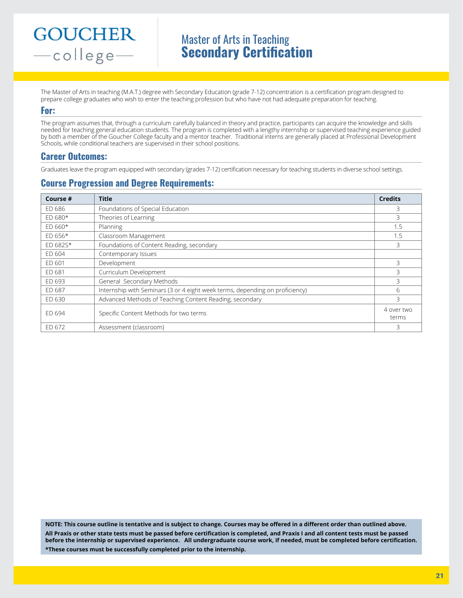# Master of Arts in Teaching **Secondary Certification**

The Master of Arts in teaching (M.A.T.) degree with Secondary Education (grade 7-12) concentration is a certification program designed to prepare college graduates who wish to enter the teaching profession but who have not had adequate preparation for teaching.

#### **For:**

The program assumes that, through a curriculum carefully balanced in theory and practice, participants can acquire the knowledge and skills needed for teaching general education students. The program is completed with a lengthy internship or supervised teaching experience guided by both a member of the Goucher College faculty and a mentor teacher. Traditional interns are generally placed at Professional Development Schools, while conditional teachers are supervised in their school positions.

## **Career Outcomes:**

Graduates leave the program equipped with secondary (grades 7-12) certification necessary for teaching students in diverse school settings.

# **Course Progression and Degree Requirements:**

| Course #  | <b>Title</b>                                                                 | <b>Credits</b>      |
|-----------|------------------------------------------------------------------------------|---------------------|
| ED 686    | Foundations of Special Education                                             | 3                   |
| ED 680*   | Theories of Learning                                                         | 3                   |
| ED 660*   | Planning                                                                     | 1.5                 |
| $ED 656*$ | Classroom Management                                                         | 1.5                 |
| ED 682S*  | Foundations of Content Reading, secondary                                    | 3                   |
| ED 604    | Contemporary Issues                                                          |                     |
| ED 601    | Development                                                                  | 3                   |
| ED 681    | Curriculum Development                                                       | 3                   |
| ED 693    | General Secondary Methods                                                    | 3                   |
| ED 687    | Internship with Seminars (3 or 4 eight week terms, depending on proficiency) | 6                   |
| ED 630    | Advanced Methods of Teaching Content Reading, secondary                      | 3                   |
| FD 694    | Specific Content Methods for two terms                                       | 4 over two<br>terms |
| ED 672    | Assessment (classroom)                                                       | 3                   |

**NOTE: This course outline is tentative and is subject to change. Courses may be offered in a different order than outlined above. All Praxis or other state tests must be passed before certification is completed, and Praxis I and all content tests must be passed before the internship or supervised experience. All undergraduate course work, if needed, must be completed before certification. \*These courses must be successfully completed prior to the internship.**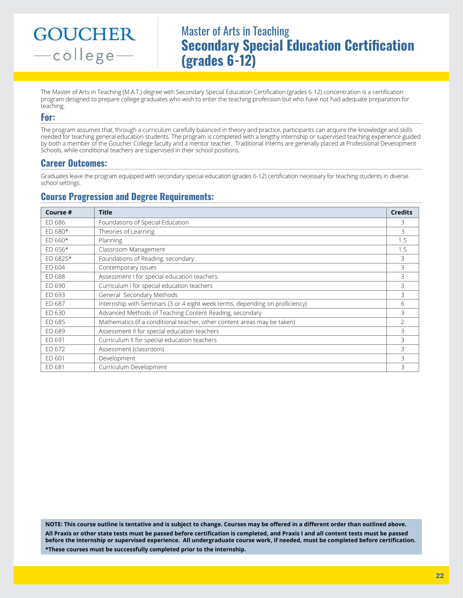# Master of Arts in Teaching **Secondary Special Education Certification (grades 6-12)**

The Master of Arts in Teaching (M.A.T.) degree with Secondary Special Education Certification (grades 6-12) concentration is a certification program designed to prepare college graduates who wish to enter the teaching profession but who have not had adequate preparation for teaching.

### **For:**

The program assumes that, through a curriculum carefully balanced in theory and practice, participants can acquire the knowledge and skills needed for teaching general education students. The program is completed with a lengthy internship or supervised teaching experience guided by both a member of the Goucher College faculty and a mentor teacher. Traditional interns are generally placed at Professional Development Schools, while conditional teachers are supervised in their school positions.

## **Career Outcomes:**

Graduates leave the program equipped with secondary special education (grades 6-12) certification necessary for teaching students in diverse school settings.

## **Course Progression and Degree Requirements:**

| Course #  | <b>Title</b>                                                                 | <b>Credits</b> |
|-----------|------------------------------------------------------------------------------|----------------|
| ED 686    | Foundations of Special Education                                             | 3              |
| $ED 680*$ | Theories of Learning                                                         | 3              |
| $ED 660*$ | Planning                                                                     | 1.5            |
| $ED 656*$ | Classroom Management                                                         | 1.5            |
| ED 682S*  | Foundations of Reading, secondary                                            | 3              |
| ED 604    | Contemporary Issues                                                          | 3              |
| ED 688    | Assessment I for special education teachers                                  | 3              |
| ED 690    | Curriculum I for special education teachers                                  | 3              |
| ED 693    | General Secondary Methods                                                    | 3              |
| ED 687    | Internship with Seminars (3 or 4 eight week terms, depending on proficiency) | 6              |
| ED 630    | Advanced Methods of Teaching Content Reading, secondary                      | 3              |
| ED 685    | Mathematics (if a conditional teacher, other content areas may be taken)     | 2              |
| ED 689    | Assessment II for special education teachers                                 | 3              |
| ED 691    | Curriculum II for special education teachers                                 | 3              |
| ED 672    | Assessment (classroom)                                                       | 3              |
| ED 601    | Development                                                                  | 3              |
| ED 681    | Curriculum Development                                                       | 3              |

**NOTE: This course outline is tentative and is subject to change. Courses may be offered in a different order than outlined above. All Praxis or other state tests must be passed before certification is completed, and Praxis I and all content tests must be passed before the internship or supervised experience. All undergraduate course work, if needed, must be completed before certification. \*These courses must be successfully completed prior to the internship.**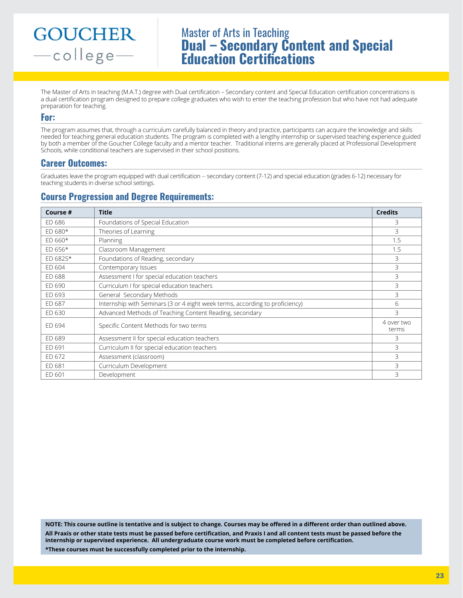# Master of Arts in Teaching **Dual – Secondary Content and Special Education Certifications**

The Master of Arts in teaching (M.A.T.) degree with Dual certification – Secondary content and Special Education certification concentrations is a dual certification program designed to prepare college graduates who wish to enter the teaching profession but who have not had adequate preparation for teaching.

### **For:**

The program assumes that, through a curriculum carefully balanced in theory and practice, participants can acquire the knowledge and skills needed for teaching general education students. The program is completed with a lengthy internship or supervised teaching experience guided by both a member of the Goucher College faculty and a mentor teacher. Traditional interns are generally placed at Professional Development Schools, while conditional teachers are supervised in their school positions.

## **Career Outcomes:**

Graduates leave the program equipped with dual certification -- secondary content (7-12) and special education (grades 6-12) necessary for teaching students in diverse school settings.

# **Course Progression and Degree Requirements:**

| Course #  | <b>Title</b>                                                                 | <b>Credits</b>      |
|-----------|------------------------------------------------------------------------------|---------------------|
| ED 686    | Foundations of Special Education                                             | 3.                  |
| $ED 680*$ | Theories of Learning                                                         | 3                   |
| $ED 660*$ | Planning                                                                     | 1.5                 |
| $ED 656*$ | Classroom Management                                                         | 1.5                 |
| ED 682S*  | Foundations of Reading, secondary                                            | 3                   |
| ED 604    | Contemporary Issues                                                          | 3.                  |
| ED 688    | Assessment I for special education teachers                                  | 3                   |
| ED 690    | Curriculum I for special education teachers                                  | 3                   |
| ED 693    | General Secondary Methods                                                    | 3                   |
| ED 687    | Internship with Seminars (3 or 4 eight week terms, according to proficiency) | 6                   |
| ED 630    | Advanced Methods of Teaching Content Reading, secondary                      | 3                   |
| ED 694    | Specific Content Methods for two terms                                       | 4 over two<br>terms |
| ED 689    | Assessment II for special education teachers                                 | 3.                  |
| ED 691    | Curriculum II for special education teachers                                 | 3                   |
| ED 672    | Assessment (classroom)                                                       | 3                   |
| ED 681    | Curriculum Development                                                       | 3                   |
| ED 601    | Development                                                                  | 3                   |

**NOTE: This course outline is tentative and is subject to change. Courses may be offered in a different order than outlined above. All Praxis or other state tests must be passed before certification, and Praxis I and all content tests must be passed before the internship or supervised experience. All undergraduate course work must be completed before certification. \*These courses must be successfully completed prior to the internship.**